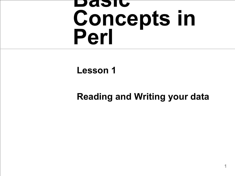#### **Basic Concepts in Perl**

#### **Lesson 1**

#### **Reading and Writing your data**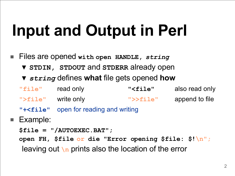# **Input and Output in Perl**

- Files are opened **with open HANDLE,** *string*
	- ▼ **STDIN, STDOUT** and **STDERR** already open
	- ▼ *string* defines **what** file gets opened **how**
	- **"file"** read only **"<file"** also read only **">file"** write only **">>file"** append to file
	- **"+<file"** open for reading and writing
- Example:
	- **\$file = "/AUTOEXEC.BAT";**
	- **open FH, \$file or die "Error opening \$file: \$!\n";** leaving out **\n** prints also the location of the error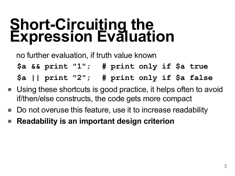#### **Short-Circuiting the Expression Evaluation**

no further evaluation, if truth value known

**\$a && print "1"; # print only if \$a true**

**\$a || print "2"; # print only if \$a false**

- Using these shortcuts is good practice, it helps often to avoid if/then/else constructs, the code gets more compact
- Do not overuse this feature, use it to increase readability
- **Readability is an important design criterion**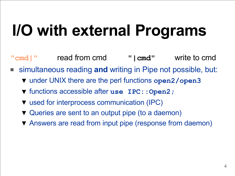# **I/O with external Programs**

- **"cmd|"** read from cmd **"|cmd"** write to cmd
- simultaneous reading and writing in Pipe not possible, but:
	- ▼ under UNIX there are the perl functions **open2/open3**
	- ▼ functions accessible after **use IPC::Open2;**
	- ▼ used for interprocess communication (IPC)
	- ▼ Queries are sent to an output pipe (to a daemon)
	- ▼ Answers are read from input pipe (response from daemon)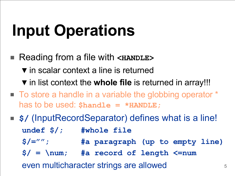# **Input Operations**

- Reading from a file with <**HANDLE**> ▼ in scalar context a line is returned ▼ in list context the **whole file** is returned in array!!!
- To store a handle in a variable the globbing operator \* has to be used: **\$handle = \*HANDLE;**
- **\$/** (InputRecordSeparator) defines what is a line! **undef \$/; #whole file \$/=""; #a paragraph (up to empty line) \$/ = \num; #a record of length <=num** even multicharacter strings are allowed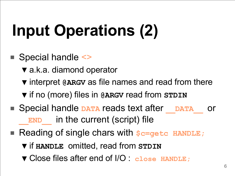# **Input Operations (2)**

- Special handle <>
	- ▼ a.k.a. diamond operator
	- ▼ interpret **@ARGV** as file names and read from there
	- ▼ if no (more) files in **@ARGV** read from **STDIN**
- Special handle **DATA** reads text after **DATA** or **END** in the current (script) file
- Reading of single chars with  $s$ <sub>c=getc</sub> HANDLE;
	- ▼ if **HANDLE** omitted, read from **STDIN**
	- ▼ Close files after end of I/O : **close HANDLE;**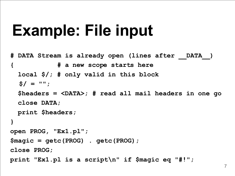#### **Example: File input**

```
# DATA Stream is already open (lines after __DATA__)
{ # a new scope starts here
   local $/; # only valid in this block
  $/ = "";
   $headers = <DATA>; # read all mail headers in one go
   close DATA;
  print $headers;
}
open PROG, "Ex1.pl";
$magic = getc(PROG) . getc(PROG);
close PROG;
print "Ex1.pl is a script\n" if $magic eq "#!";
```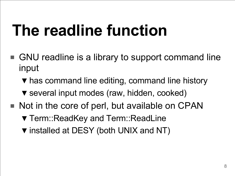#### **The readline function**

- GNU readline is a library to support command line input
	- ▼ has command line editing, command line history
	- ▼ several input modes (raw, hidden, cooked)
- Not in the core of perl, but available on CPAN
	- ▼ Term::ReadKey and Term::ReadLine
	- ▼ installed at DESY (both UNIX and NT)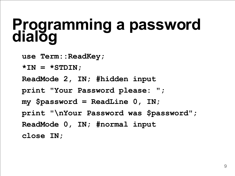#### **Programming a password dialog**

**use Term:: ReadKey;** 

**\*IN = \*STDIN;**

**ReadMode 2, IN; #hidden input**

**print "Your Password please: ";**

**my \$password = ReadLine 0, IN; print "\nYour Password was \$password";**

**ReadMode 0, IN; #normal input**

**close IN;**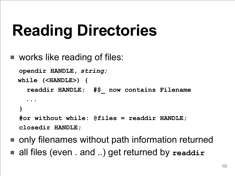### **Reading Directories**

■ works like reading of files:

```
opendir HANDLE, string;
  while (<HANDLE>) {
     readdir HANDLE; #$_ now contains Filename
......
  }
  #or without while: @files = readdir HANDLE;
  closedir HANDLE;
```
- only filenames without path information returned
- all files (even . and ..) get returned by readdir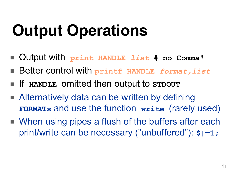# **Output Operations**

- Output with **print HANDLE** *list* **# no Comma!**
- Better control with printf HANDLE *format, list*
- If **HANDLE** omitted then output to **STDOUT**
- Alternatively data can be written by defining **FORMATs** and use the function **write** (rarely used)
- When using pipes a flush of the buffers after each print/write can be necessary ("unbuffered"): **\$|=1;**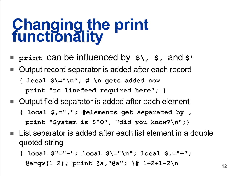#### **Changing the print functionality**

- **print** can be influenced by **\$\, \$,** and **\$"**
- Output record separator is added after each record **{ local \$\="\n"; # \n gets added now print "no linefeed required here"; }**
- Output field separator is added after each element **{ local \$,=","; #elements get separated by , print "System is \$^O", "did you know?\n";}**
- List separator is added after each list element in a double quoted string
	- **{ local \$"="-"; local \$\="\n"; local \$,="+";** 
		- **@a=qw(1 2); print @a,"@a"; }# 1+2+1-2\n**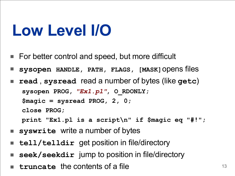#### **Low Level I/O**

- For better control and speed, but more difficult
- **sysopen HANDLE, PATH, FLAGS, [MASK]**opens files
- **read** , **sysread** read a number of bytes (like **getc**) **sysopen PROG,** *"Ex1.pl"***, O\_RDONLY; \$magic = sysread PROG, 2, 0; close PROG; print "Ex1.pl is a script\n" if \$magic eq "#!";**
- **syswrite** write a number of bytes
- **tell/telldir** get position in file/directory
- **seek/seekdir** jump to position in file/directory
- **truncate** the contents of a file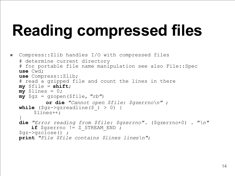# **Reading compressed files**

```
■ Compress::Zlib handles I/O with compressed files
  # determine current directory
  # for portable file name manipulation see also File::Spec
  use Cwd;
  use Compress::Zlib;
  # read a gzipped file and count the lines in there
  my $file = shift;
  mv $lines = 0;
  my $gz = gzopen($file, "rb") 
            or die "Cannot open $file: $gzerrno\n" ;
  while (\frac{5}{9}qz - \frac{5}{qz} \neq 0) {
       $lines++;
   }
  die "Error reading from $file: $gzerrno" . ($gzerrno+0) . "\n"
        if $gzerrno != Z_STREAM_END ; 
   $gz->gzclose() ;
  print "File $file contains $lines lines\n";
```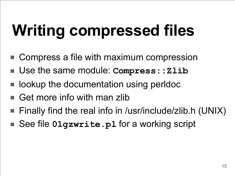# **Writing compressed files**

- Compress a file with maximum compression
- Use the same module: **Compress::Zlib**
- lookup the documentation using perldoc
- Get more info with man zlib
- Finally find the real info in /usr/include/zlib.h (UNIX)
- See file **01qzwrite.pl** for a working script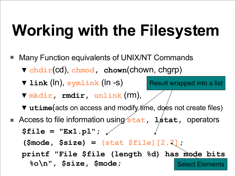# **Working with the Filesystem**

Select Elements Many Function equivalents of UNIX/NT Commands ▼ **chdir**(cd), **chmod, chown**(chown, chgrp) ▼ **link** (ln), **symlink** (ln -s) ▼ **mkdir, rmdir, unlink** (rm), ▼ utime(acts on access and modify time, does not create files) ■ Access to file information using stat, 1stat, operators **\$file = "Ex1.pl"; (\$mode, \$size) = (stat \$file)[2,7]; printf "File \$file (length %d) has mode bits %o\n" , \$size, \$mode;** Result wrapped into a list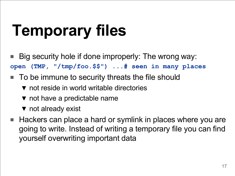# **Temporary files**

- Big security hole if done improperly: The wrong way: **open (TMP, "/tmp/foo.\$\$") ...# seen in many places**
- To be immune to security threats the file should
	- ▼ not reside in world writable directories
	- ▼ not have a predictable name
	- ▼ not already exist
- Hackers can place a hard or symlink in places where you are going to write. Instead of writing a temporary file you can find yourself overwriting important data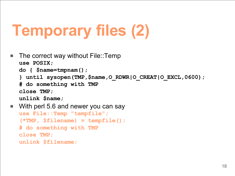# **Temporary files (2)**

```
■ The correct way without File::Temp
  use POSIX;
  do { $name=tmpnam();
  } until sysopen(TMP,$name,O_RDWR|O_CREAT|O_EXCL,0600);
  # do something with TMP
  close TMP;
  unlink $name;
■ With perl 5.6 and newer you can say
  use File::Temp "tempfile";
```

```
(*TMP, $filename) = tempfile();
```

```
# do something with TMP
```
**close TMP;**

**unlink \$filename;**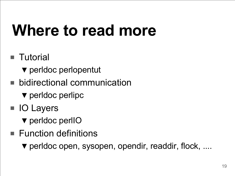### **Where to read more**

- Tutorial
	- ▼ perldoc perlopentut
- bidirectional communication
	- ▼ perldoc perlipc
- IO Layers
	- ▼ perldoc perlIO
- Function definitions
	- ▼ perldoc open, sysopen, opendir, readdir, flock, ....